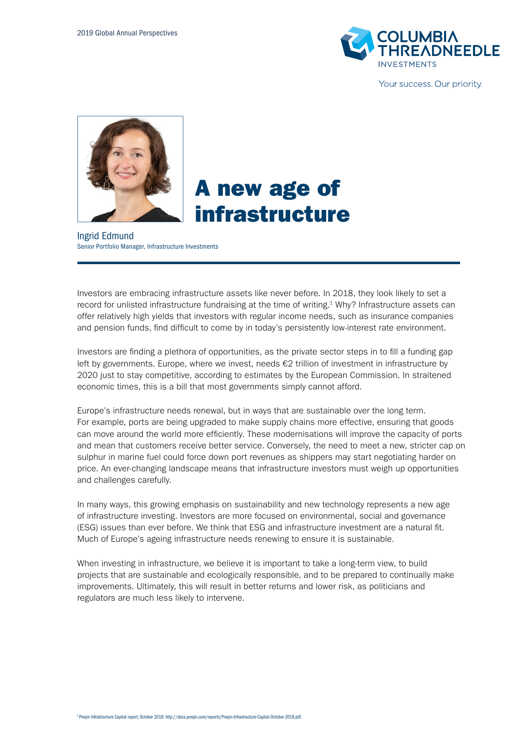

Your success. Our priority.



# A new age of infrastructure

Ingrid Edmund Senior Portfolio Manager, Infrastructure Investments

Investors are embracing infrastructure assets like never before. In 2018, they look likely to set a record for unlisted infrastructure fundraising at the time of writing.<sup>1</sup> Why? Infrastructure assets can offer relatively high yields that investors with regular income needs, such as insurance companies and pension funds, find difficult to come by in today's persistently low-interest rate environment.

Investors are finding a plethora of opportunities, as the private sector steps in to fill a funding gap left by governments. Europe, where we invest, needs €2 trillion of investment in infrastructure by 2020 just to stay competitive, according to estimates by the European Commission. In straitened economic times, this is a bill that most governments simply cannot afford.

Europe's infrastructure needs renewal, but in ways that are sustainable over the long term. For example, ports are being upgraded to make supply chains more effective, ensuring that goods can move around the world more efficiently. These modernisations will improve the capacity of ports and mean that customers receive better service. Conversely, the need to meet a new, stricter cap on sulphur in marine fuel could force down port revenues as shippers may start negotiating harder on price. An ever-changing landscape means that infrastructure investors must weigh up opportunities and challenges carefully.

In many ways, this growing emphasis on sustainability and new technology represents a new age of infrastructure investing. Investors are more focused on environmental, social and governance (ESG) issues than ever before. We think that ESG and infrastructure investment are a natural fit. Much of Europe's ageing infrastructure needs renewing to ensure it is sustainable.

When investing in infrastructure, we believe it is important to take a long-term view, to build projects that are sustainable and ecologically responsible, and to be prepared to continually make improvements. Ultimately, this will result in better returns and lower risk, as politicians and regulators are much less likely to intervene.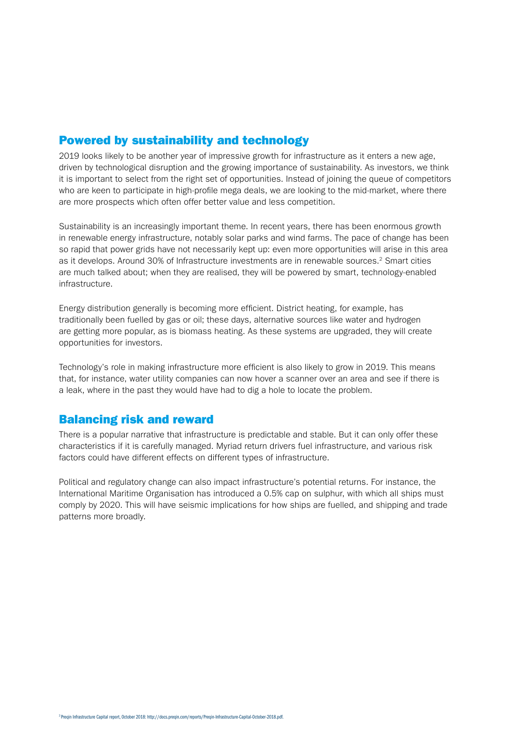#### Powered by sustainability and technology

2019 looks likely to be another year of impressive growth for infrastructure as it enters a new age, driven by technological disruption and the growing importance of sustainability. As investors, we think it is important to select from the right set of opportunities. Instead of joining the queue of competitors who are keen to participate in high-profile mega deals, we are looking to the mid-market, where there are more prospects which often offer better value and less competition.

Sustainability is an increasingly important theme. In recent years, there has been enormous growth in renewable energy infrastructure, notably solar parks and wind farms. The pace of change has been so rapid that power grids have not necessarily kept up: even more opportunities will arise in this area as it develops. Around 30% of Infrastructure investments are in renewable sources.2 Smart cities are much talked about; when they are realised, they will be powered by smart, technology-enabled infrastructure.

Energy distribution generally is becoming more efficient. District heating, for example, has traditionally been fuelled by gas or oil; these days, alternative sources like water and hydrogen are getting more popular, as is biomass heating. As these systems are upgraded, they will create opportunities for investors.

Technology's role in making infrastructure more efficient is also likely to grow in 2019. This means that, for instance, water utility companies can now hover a scanner over an area and see if there is a leak, where in the past they would have had to dig a hole to locate the problem.

#### Balancing risk and reward

There is a popular narrative that infrastructure is predictable and stable. But it can only offer these characteristics if it is carefully managed. Myriad return drivers fuel infrastructure, and various risk factors could have different effects on different types of infrastructure.

Political and regulatory change can also impact infrastructure's potential returns. For instance, the International Maritime Organisation has introduced a 0.5% cap on sulphur, with which all ships must comply by 2020. This will have seismic implications for how ships are fuelled, and shipping and trade patterns more broadly.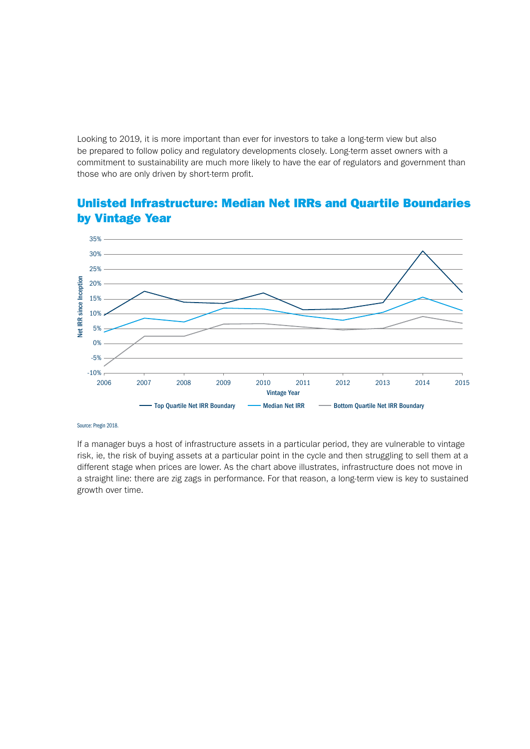Looking to 2019, it is more important than ever for investors to take a long-term view but also be prepared to follow policy and regulatory developments closely. Long-term asset owners with a commitment to sustainability are much more likely to have the ear of regulators and government than those who are only driven by short-term profit.

### Unlisted Infrastructure: Median Net IRRs and Quartile Boundaries by Vintage Year



Source: Pregin 2018.

If a manager buys a host of infrastructure assets in a particular period, they are vulnerable to vintage risk, ie, the risk of buying assets at a particular point in the cycle and then struggling to sell them at a different stage when prices are lower. As the chart above illustrates, infrastructure does not move in a straight line: there are zig zags in performance. For that reason, a long-term view is key to sustained growth over time.